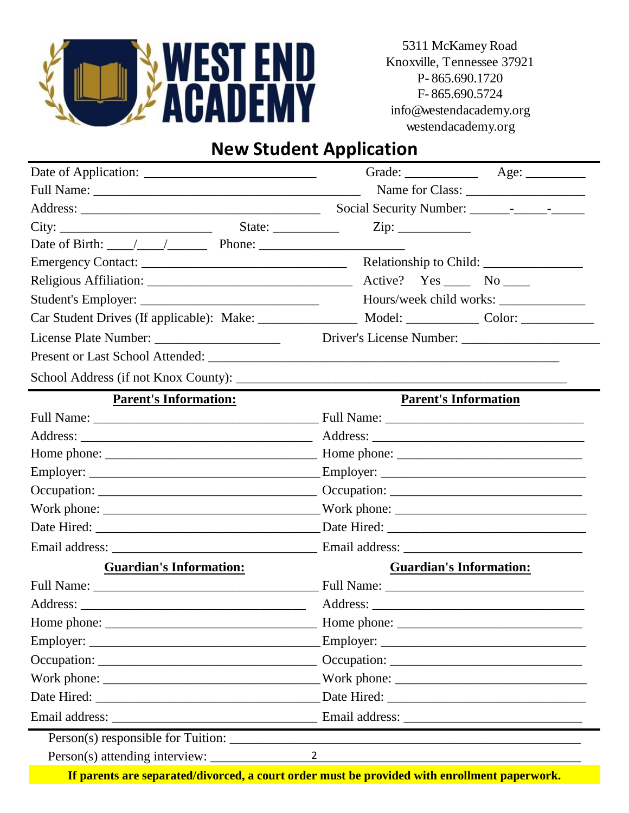

5311 McKamey Road Knoxville, Tennessee 37921 P- 865.690.1720 F- 865.690.5724 info@westendacademy.org westendacademy.org

## **New Student Application**

| City:                                                                                                                                                                                                                          | State: $\frac{2}{\sqrt{2}}$ | $\overline{Zip:}$                                                                            |                                |
|--------------------------------------------------------------------------------------------------------------------------------------------------------------------------------------------------------------------------------|-----------------------------|----------------------------------------------------------------------------------------------|--------------------------------|
| Date of Birth: $\angle$ / $\angle$ Phone: $\angle$                                                                                                                                                                             |                             |                                                                                              |                                |
|                                                                                                                                                                                                                                |                             |                                                                                              |                                |
|                                                                                                                                                                                                                                |                             | Active? $Yes \_\_$ No $\_\_$                                                                 |                                |
|                                                                                                                                                                                                                                |                             |                                                                                              | Hours/week child works:        |
|                                                                                                                                                                                                                                |                             |                                                                                              |                                |
|                                                                                                                                                                                                                                |                             |                                                                                              |                                |
|                                                                                                                                                                                                                                |                             |                                                                                              |                                |
|                                                                                                                                                                                                                                |                             |                                                                                              |                                |
| <b>Parent's Information:</b>                                                                                                                                                                                                   |                             |                                                                                              | <b>Parent's Information</b>    |
|                                                                                                                                                                                                                                |                             |                                                                                              |                                |
|                                                                                                                                                                                                                                |                             |                                                                                              |                                |
|                                                                                                                                                                                                                                |                             |                                                                                              |                                |
|                                                                                                                                                                                                                                |                             |                                                                                              |                                |
|                                                                                                                                                                                                                                |                             |                                                                                              |                                |
|                                                                                                                                                                                                                                |                             |                                                                                              |                                |
|                                                                                                                                                                                                                                |                             |                                                                                              |                                |
| Email address: Email address: Email address: Email address: Email address: Email address: Email address: Email address: Email address: Email address: Email address: Email address: Email address: Email address: Email addres |                             |                                                                                              |                                |
| <b>Guardian's Information:</b>                                                                                                                                                                                                 |                             |                                                                                              | <b>Guardian's Information:</b> |
|                                                                                                                                                                                                                                |                             |                                                                                              |                                |
|                                                                                                                                                                                                                                |                             |                                                                                              |                                |
| Home phone:                                                                                                                                                                                                                    |                             |                                                                                              |                                |
|                                                                                                                                                                                                                                |                             |                                                                                              |                                |
|                                                                                                                                                                                                                                |                             |                                                                                              |                                |
|                                                                                                                                                                                                                                |                             |                                                                                              |                                |
|                                                                                                                                                                                                                                |                             |                                                                                              |                                |
|                                                                                                                                                                                                                                |                             |                                                                                              |                                |
|                                                                                                                                                                                                                                |                             |                                                                                              |                                |
| Person(s) attending interview:                                                                                                                                                                                                 |                             | $\overline{2}$                                                                               |                                |
|                                                                                                                                                                                                                                |                             | If parents are separated/divorced, a court order must be provided with enrollment paperwork. |                                |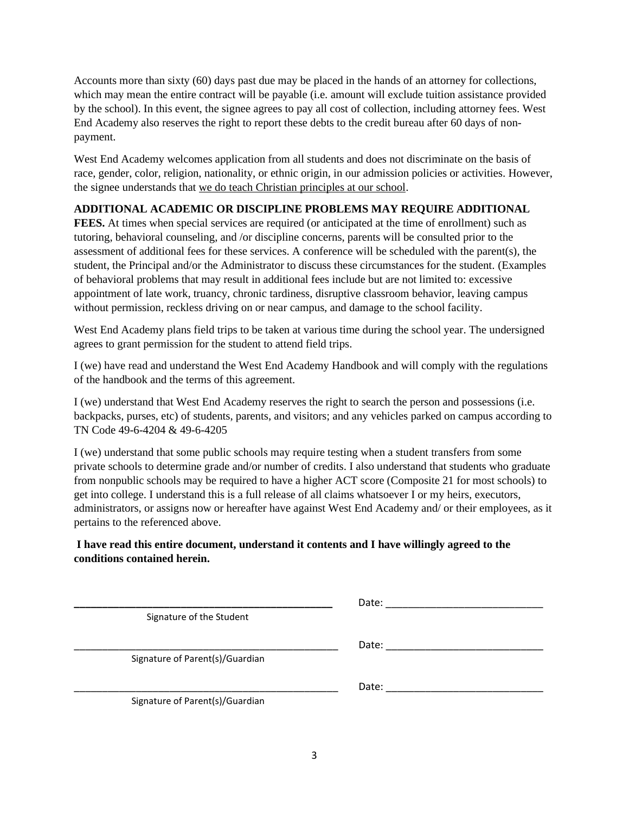Accounts more than sixty (60) days past due may be placed in the hands of an attorney for collections, which may mean the entire contract will be payable (i.e. amount will exclude tuition assistance provided by the school). In this event, the signee agrees to pay all cost of collection, including attorney fees. West End Academy also reserves the right to report these debts to the credit bureau after 60 days of nonpayment.

West End Academy welcomes application from all students and does not discriminate on the basis of race, gender, color, religion, nationality, or ethnic origin, in our admission policies or activities. However, the signee understands that we do teach Christian principles at our school.

## **ADDITIONAL ACADEMIC OR DISCIPLINE PROBLEMS MAY REQUIRE ADDITIONAL**

**FEES.** At times when special services are required (or anticipated at the time of enrollment) such as tutoring, behavioral counseling, and /or discipline concerns, parents will be consulted prior to the assessment of additional fees for these services. A conference will be scheduled with the parent(s), the student, the Principal and/or the Administrator to discuss these circumstances for the student. (Examples of behavioral problems that may result in additional fees include but are not limited to: excessive appointment of late work, truancy, chronic tardiness, disruptive classroom behavior, leaving campus without permission, reckless driving on or near campus, and damage to the school facility.

West End Academy plans field trips to be taken at various time during the school year. The undersigned agrees to grant permission for the student to attend field trips.

I (we) have read and understand the West End Academy Handbook and will comply with the regulations of the handbook and the terms of this agreement.

I (we) understand that West End Academy reserves the right to search the person and possessions (i.e. backpacks, purses, etc) of students, parents, and visitors; and any vehicles parked on campus according to TN Code 49-6-4204 & 49-6-4205

I (we) understand that some public schools may require testing when a student transfers from some private schools to determine grade and/or number of credits. I also understand that students who graduate from nonpublic schools may be required to have a higher ACT score (Composite 21 for most schools) to get into college. I understand this is a full release of all claims whatsoever I or my heirs, executors, administrators, or assigns now or hereafter have against West End Academy and/ or their employees, as it pertains to the referenced above.

## **I have read this entire document, understand it contents and I have willingly agreed to the conditions contained herein.**

|                                 | Date: |
|---------------------------------|-------|
| Signature of the Student        |       |
|                                 | Date: |
| Signature of Parent(s)/Guardian |       |
|                                 | Date: |
| Signature of Parent(s)/Guardian |       |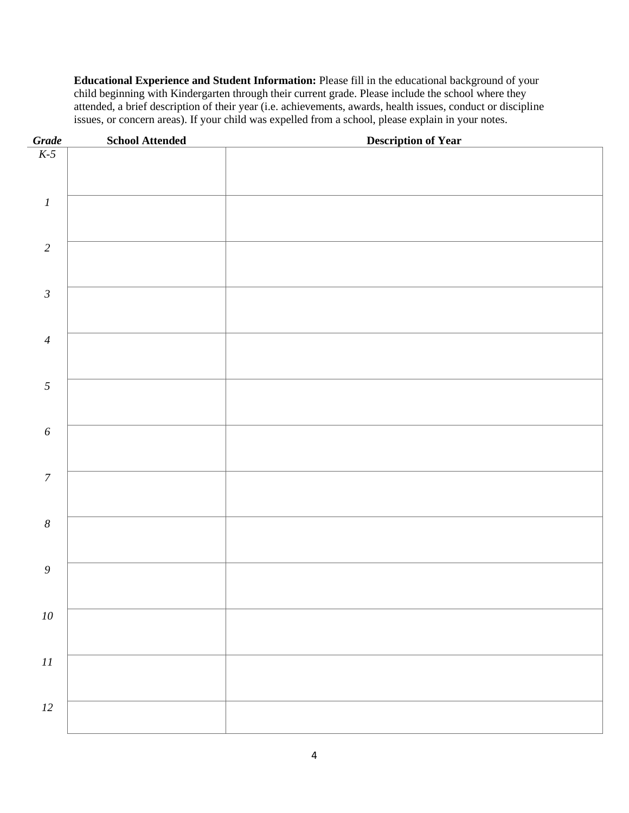**Educational Experience and Student Information:** Please fill in the educational background of your child beginning with Kindergarten through their current grade. Please include the school where they attended, a brief description of their year (i.e. achievements, awards, health issues, conduct or discipline issues, or concern areas). If your child was expelled from a school, please explain in your notes.

| $\frac{Grade}{K \cdot 5}$ | <b>School Attended</b> | <b>Description of Year</b> |
|---------------------------|------------------------|----------------------------|
|                           |                        |                            |
|                           |                        |                            |
|                           |                        |                            |
| $\cal I$                  |                        |                            |
|                           |                        |                            |
|                           |                        |                            |
| $\sqrt{2}$                |                        |                            |
|                           |                        |                            |
| $\mathfrak{Z}$            |                        |                            |
|                           |                        |                            |
|                           |                        |                            |
| $\overline{4}$            |                        |                            |
|                           |                        |                            |
|                           |                        |                            |
| $\mathfrak{S}$            |                        |                            |
|                           |                        |                            |
| $\boldsymbol{\delta}$     |                        |                            |
|                           |                        |                            |
|                           |                        |                            |
| $\boldsymbol{7}$          |                        |                            |
|                           |                        |                            |
|                           |                        |                            |
| $\boldsymbol{8}$          |                        |                            |
|                           |                        |                            |
| $\mathfrak g$             |                        |                            |
|                           |                        |                            |
|                           |                        |                            |
| $10\,$                    |                        |                            |
|                           |                        |                            |
|                           |                        |                            |
| $\cal II$                 |                        |                            |
|                           |                        |                            |
| $12\,$                    |                        |                            |
|                           |                        |                            |
|                           |                        |                            |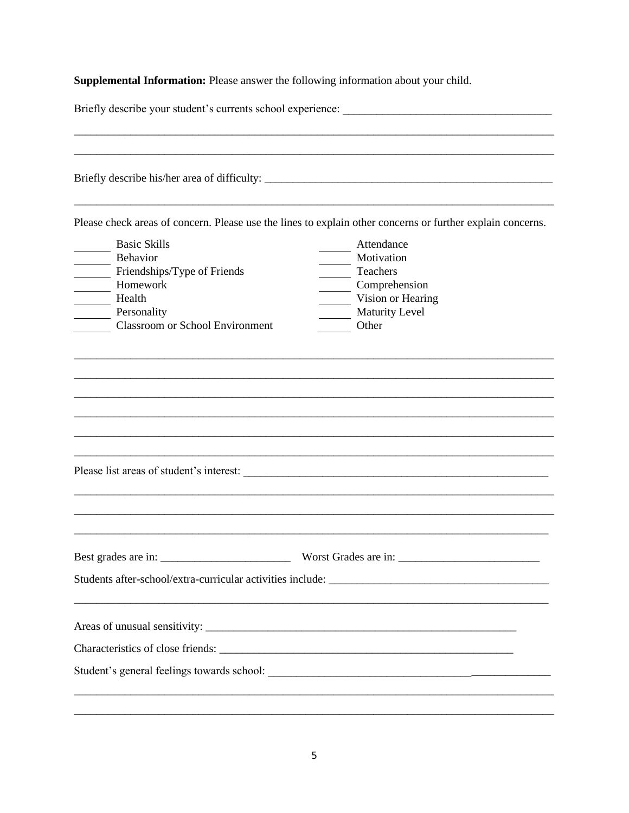Supplemental Information: Please answer the following information about your child.

| Briefly describe your student's currents school experience:                                                                                   |                                                                                                                                               |  |  |  |
|-----------------------------------------------------------------------------------------------------------------------------------------------|-----------------------------------------------------------------------------------------------------------------------------------------------|--|--|--|
| Briefly describe his/her area of difficulty: ___________________________________                                                              |                                                                                                                                               |  |  |  |
|                                                                                                                                               | Please check areas of concern. Please use the lines to explain other concerns or further explain concerns.                                    |  |  |  |
| <b>Basic Skills</b><br>Behavior<br>Friendships/Type of Friends<br>Homework<br>Health<br>Personality<br><b>Classroom or School Environment</b> | Attendance<br>Motivation<br>Teachers<br>Comprehension<br>Vision or Hearing<br>Maturity Level<br>Other                                         |  |  |  |
|                                                                                                                                               |                                                                                                                                               |  |  |  |
| Please list areas of student's interest:                                                                                                      |                                                                                                                                               |  |  |  |
|                                                                                                                                               |                                                                                                                                               |  |  |  |
| Best grades are in:                                                                                                                           | Worst Grades are in:<br><u> 1989 - Johann Barn, amerikan bernama di sebagai bernama di sebagai bernama di sebagai bernama di sebagai bern</u> |  |  |  |
|                                                                                                                                               |                                                                                                                                               |  |  |  |
|                                                                                                                                               |                                                                                                                                               |  |  |  |
|                                                                                                                                               |                                                                                                                                               |  |  |  |
|                                                                                                                                               |                                                                                                                                               |  |  |  |